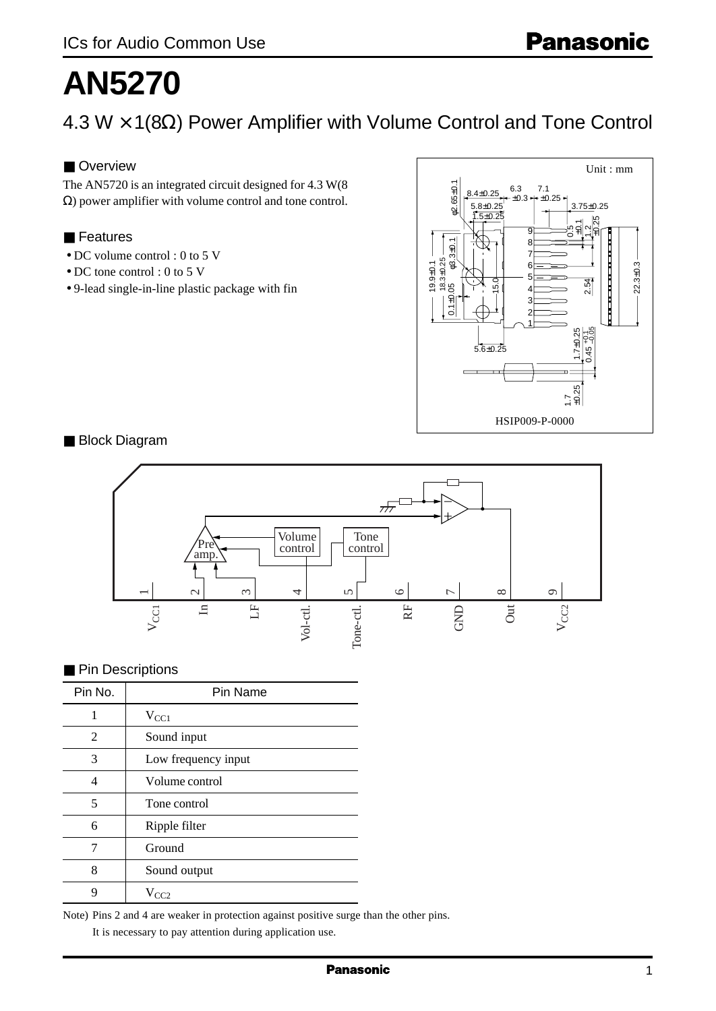# **AN5270**

4.3 W × 1(8Ω) Power Amplifier with Volume Control and Tone Control

## ■ Overview

The AN5720 is an integrated circuit designed for 4.3 W(8 Ω) power amplifier with volume control and tone control.

## ■ Features

- DC volume control : 0 to 5 V
- DC tone control : 0 to 5 V
- 9-lead single-in-line plastic package with fin



■ Block Diagram



## ■ Pin Descriptions

| Pin No. | Pin Name            |  |  |
|---------|---------------------|--|--|
|         | $V_{\rm CC1}$       |  |  |
| 2       | Sound input         |  |  |
| 3       | Low frequency input |  |  |
| 4       | Volume control      |  |  |
| 5       | Tone control        |  |  |
| 6       | Ripple filter       |  |  |
| 7       | Ground              |  |  |
| 8       | Sound output        |  |  |
| q       | $V_{CC2}$           |  |  |

Note) Pins 2 and 4 are weaker in protection against positive surge than the other pins.

It is necessary to pay attention during application use.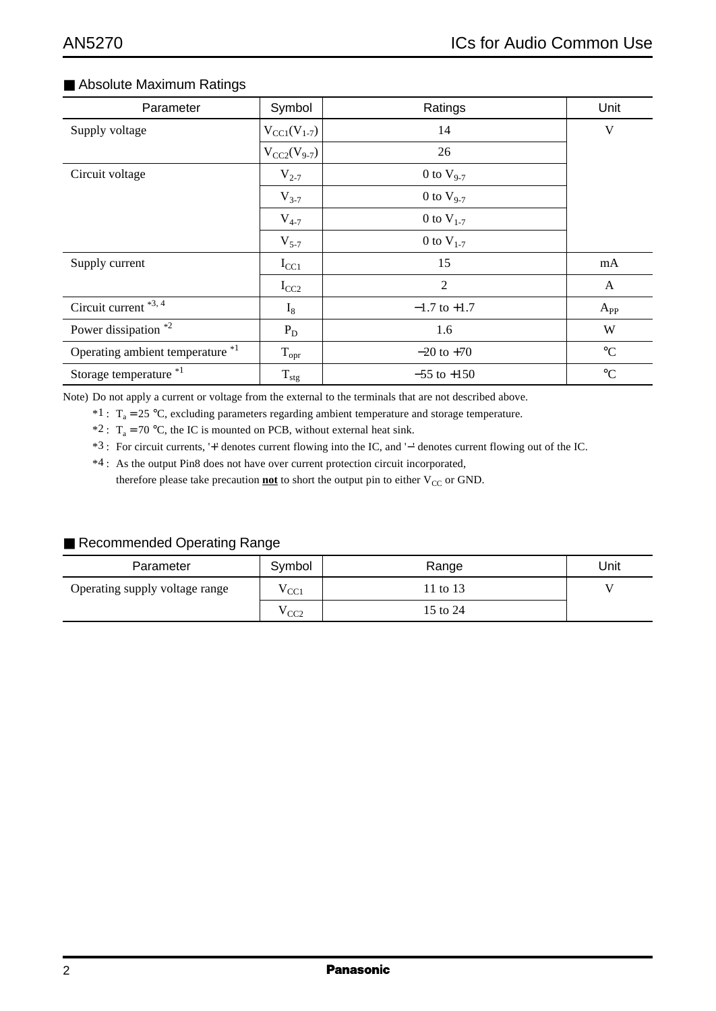## ■ Absolute Maximum Ratings

| Parameter                        | Symbol                 | Ratings          | Unit            |
|----------------------------------|------------------------|------------------|-----------------|
| Supply voltage                   | $V_{\rm CC1}(V_{1-7})$ | 14               | V               |
|                                  | $V_{CC2}(V_{9-7})$     | 26               |                 |
| Circuit voltage                  | $V_{2-7}$              | 0 to $V_{9-7}$   |                 |
|                                  | $V_{3-7}$              | 0 to $V_{9-7}$   |                 |
|                                  | $V_{4-7}$              | 0 to $V_{1-7}$   |                 |
|                                  | $V_{5-7}$              | 0 to $V_{1-7}$   |                 |
| Supply current                   | $I_{CC1}$              | 15               | mA              |
|                                  | $I_{CC2}$              | $\overline{2}$   | A               |
| Circuit current *3, 4            | $I_8$                  | $-1.7$ to $+1.7$ | $A_{PP}$        |
| Power dissipation *2             | $P_D$                  | 1.6              | W               |
| Operating ambient temperature *1 | $T_{\text{opt}}$       | $-20$ to $+70$   | $^{\circ}C$     |
| Storage temperature *1           | $T_{\rm stg}$          | $-55$ to $+150$  | $\rm ^{\circ}C$ |

Note) Do not apply a current or voltage from the external to the terminals that are not described above.

 $*1$ : T<sub>a</sub> = 25 °C, excluding parameters regarding ambient temperature and storage temperature.

\*2 :  $T_a = 70$  °C, the IC is mounted on PCB, without external heat sink.

\*3 : For circuit currents, '+' denotes current flowing into the IC, and '−' denotes current flowing out of the IC.

\*4 : As the output Pin8 does not have over current protection circuit incorporated, therefore please take precaution **not** to short the output pin to either V<sub>CC</sub> or GND.

#### ■ Recommended Operating Range

| Parameter                      | Symbol          | Range    | Unit |
|--------------------------------|-----------------|----------|------|
| Operating supply voltage range | $^{\prime}$ CC1 | 11 to 13 |      |
|                                | CC <sub>2</sub> | 15 to 24 |      |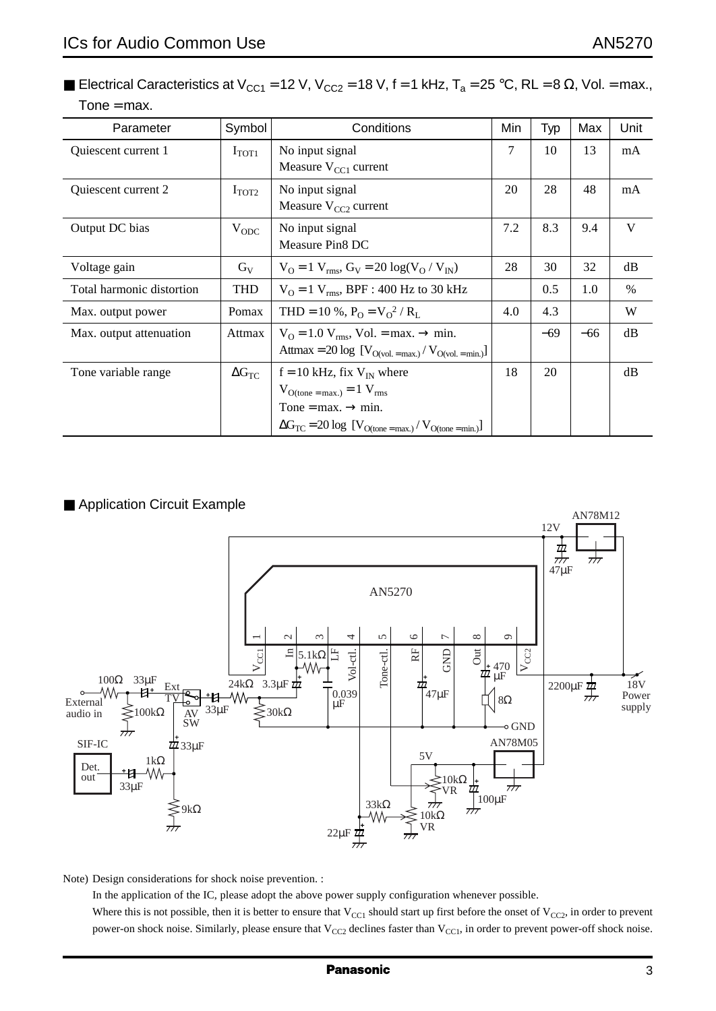■ Electrical Caracteristics at V<sub>CC1</sub> = 12 V, V<sub>CC2</sub> = 18 V, f = 1 kHz, T<sub>a</sub> = 25 °C, RL = 8 Ω, Vol. = max.,  $Tone = max$ .

| Parameter                 | Symbol              | Conditions                                                          |     | Typ   | Max   | Unit |
|---------------------------|---------------------|---------------------------------------------------------------------|-----|-------|-------|------|
| Quiescent current 1       | $I_{TOT1}$          | No input signal                                                     |     | 10    | 13    | mA   |
|                           |                     | Measure $V_{\text{CC1}}$ current                                    |     |       |       |      |
| Quiescent current 2       | $I_{\text{TOT2}}$   | No input signal                                                     | 20  | 28    | 48    | mA   |
|                           |                     | Measure $V_{CC2}$ current                                           |     |       |       |      |
| Output DC bias            | $V_{ODC}$           | No input signal                                                     | 7.2 | 8.3   | 9.4   | V    |
|                           |                     | Measure Pin <sub>8</sub> DC                                         |     |       |       |      |
| Voltage gain              | $G_V$               | $V_O = 1 V_{rms}$ , $G_V = 20 log(V_O / V_{IN})$                    | 28  | 30    | 32    | dB   |
| Total harmonic distortion | <b>THD</b>          | $V_O = 1 V_{rms}$ , BPF : 400 Hz to 30 kHz                          |     | 0.5   | 1.0   | $\%$ |
| Max. output power         | Pomax               | THD = 10 %, $P_0 = V_0^2/R_I$                                       | 4.0 | 4.3   |       | W    |
| Max. output attenuation   | Attmax              | $V_{\Omega} = 1.0 V_{\text{rms}}$ , Vol. = max. $\rightarrow$ min.  |     | $-69$ | $-66$ | dB   |
|                           |                     | Attmax = 20 log $[V_{O(vol. = max.)} / V_{O(vol. = min.)}]$         |     |       |       |      |
| Tone variable range       | $\Delta G_{\rm TC}$ | $f = 10$ kHz, fix $V_{IN}$ where                                    | 18  | 20    |       | dB   |
|                           |                     | $V_{\text{O(tone = max.)}} = 1 V_{\text{rms}}$                      |     |       |       |      |
|                           |                     | Tone = max. $\rightarrow$ min.                                      |     |       |       |      |
|                           |                     | $\Delta G_{TC} = 20 \log [V_{O(tone = max.)} / V_{O(tone = min.)}]$ |     |       |       |      |

#### ■ Application Circuit Example



Note) Design considerations for shock noise prevention. :

In the application of the IC, please adopt the above power supply configuration whenever possible. Where this is not possible, then it is better to ensure that  $V_{CC1}$  should start up first before the onset of  $V_{CC2}$ , in order to prevent power-on shock noise. Similarly, please ensure that  $V_{CC2}$  declines faster than  $V_{CC1}$ , in order to prevent power-off shock noise.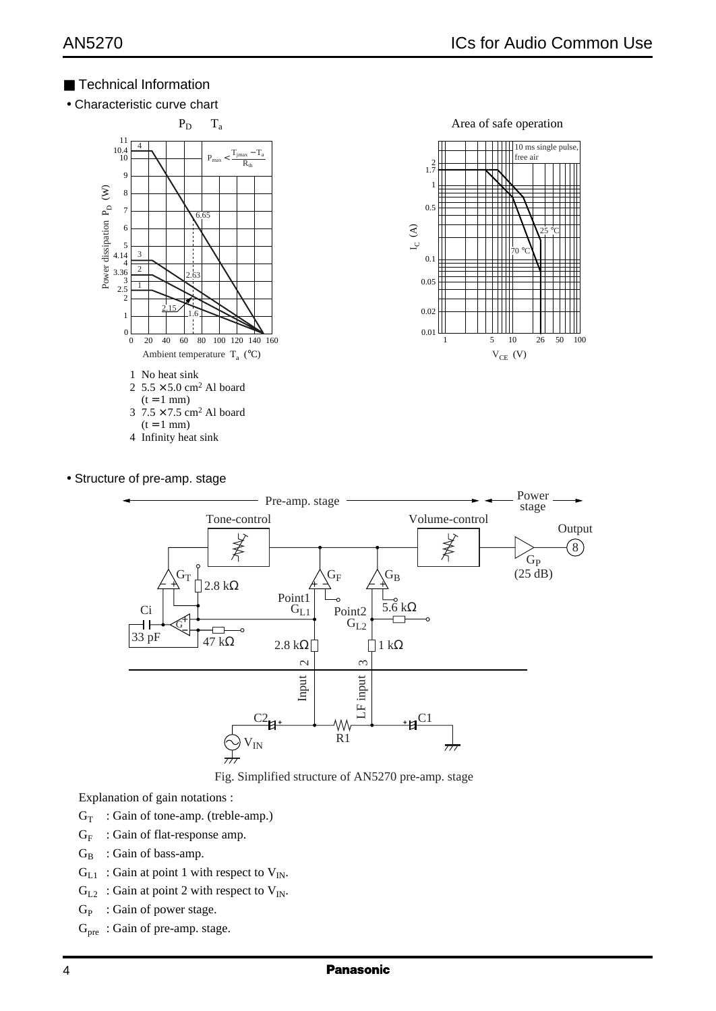## ■ Technical Information

• Characteristic curve chart



- 4 Infinity heat sink
- Structure of pre-amp. stage



Fig. Simplified structure of AN5270 pre-amp. stage

Explanation of gain notations :

- $G_T$ : Gain of tone-amp. (treble-amp.)
- $G_F$  : Gain of flat-response amp.
- $G_B$ : Gain of bass-amp.
- $G_{L1}$ : Gain at point 1 with respect to  $V_{IN}$ .
- $G_{L2}$ : Gain at point 2 with respect to  $V_{IN}$ .
- $G_P$  : Gain of power stage.
- G<sub>pre</sub>: Gain of pre-amp. stage.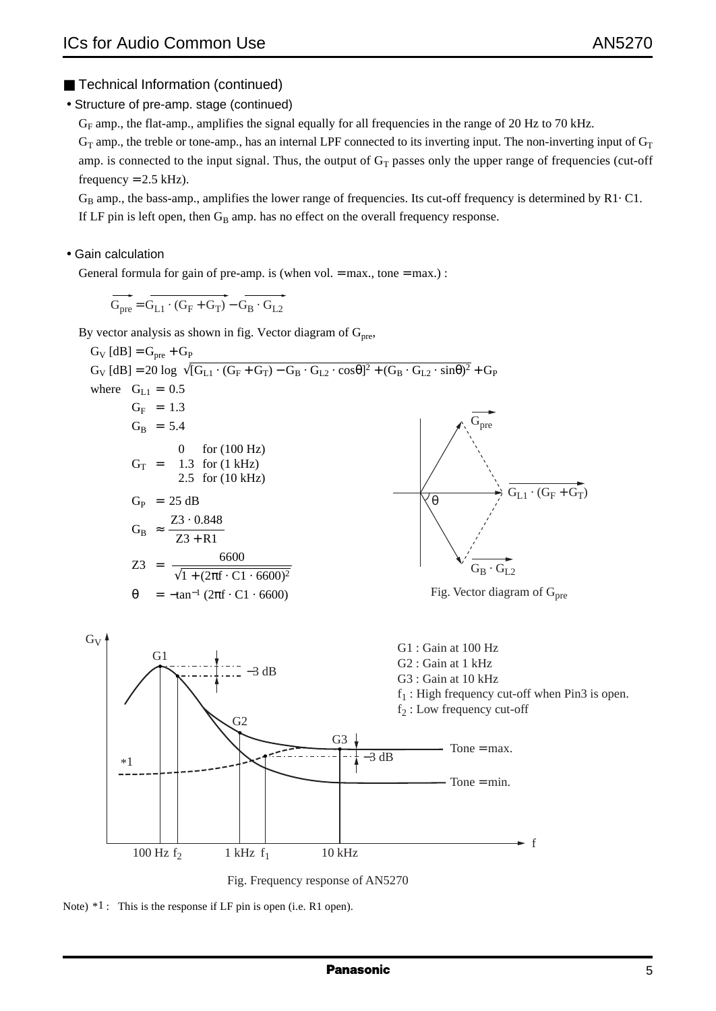• Structure of pre-amp. stage (continued)

 $G_F$  amp., the flat-amp., amplifies the signal equally for all frequencies in the range of 20 Hz to 70 kHz.

 $G_T$  amp., the treble or tone-amp., has an internal LPF connected to its inverting input. The non-inverting input of  $G_T$ amp. is connected to the input signal. Thus, the output of  $G_T$  passes only the upper range of frequencies (cut-off frequency  $= 2.5$  kHz).

 $G_B$  amp., the bass-amp., amplifies the lower range of frequencies. Its cut-off frequency is determined by R1 $\cdot$  C1. If LF pin is left open, then  $G_B$  amp. has no effect on the overall frequency response.

• Gain calculation

General formula for gain of pre-amp. is (when vol.  $=$  max., tone  $=$  max.) :

 $G_{\text{pre}} = G_{\text{L1}} \cdot (G_{\text{F}} + G_{\text{T}}) - G_{\text{B}} \cdot G_{\text{L2}}$ 

By vector analysis as shown in fig. Vector diagram of  $G_{pre}$ ,



Note)  $*1$ : This is the response if LF pin is open (i.e. R1 open).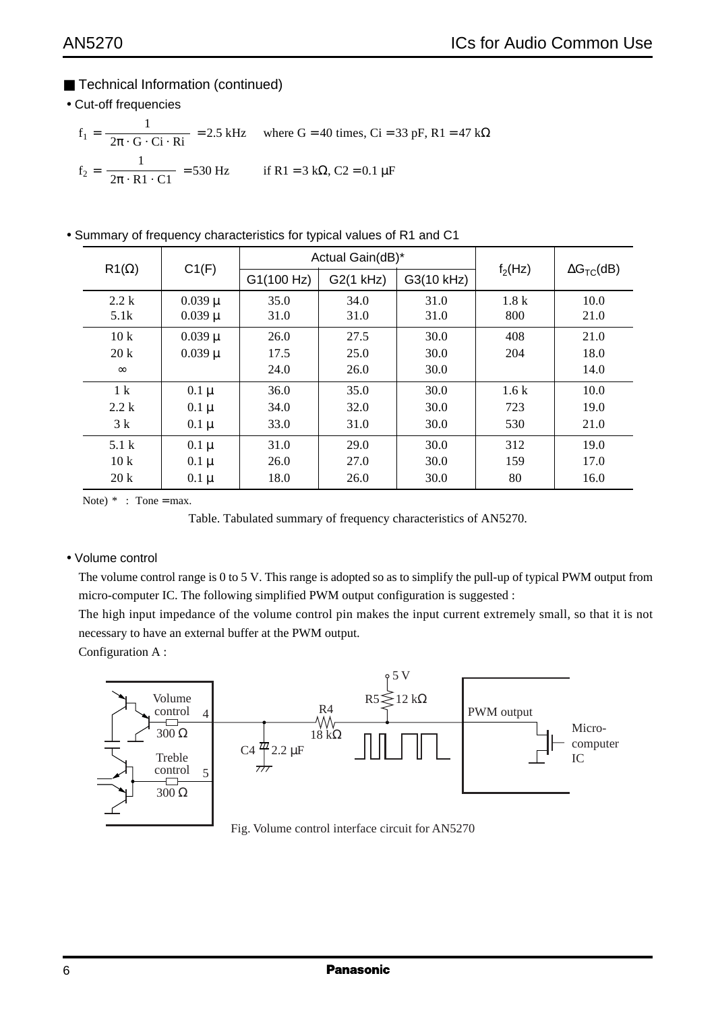- Technical Information (continued)
- Cut-off frequencies

$$
f_1 = \frac{1}{2\pi \cdot G \cdot Ci \cdot Ri} = 2.5 \text{ kHz}
$$
 where  $G = 40 \text{ times}$ ,  $Ci = 33 \text{ pF}$ ,  $R1 = 47 \text{ k}\Omega$   
\n $f_2 = \frac{1}{2\pi \cdot R1 \cdot CI} = 530 \text{ Hz}$  if  $R1 = 3 \text{ k}\Omega$ ,  $C2 = 0.1 \text{ }\mu\text{F}$ 

• Summary of frequency characteristics for typical values of R1 and C1

| $R1(\Omega)$     | C1(F)       |            | Actual Gain(dB)* |            |           |                     |
|------------------|-------------|------------|------------------|------------|-----------|---------------------|
|                  |             | G1(100 Hz) | G2(1 kHz)        | G3(10 kHz) | $f_2(Hz)$ | $\Delta G_{TC}(dB)$ |
| 2.2k             | $0.039 \mu$ | 35.0       | 34.0             | 31.0       | 1.8k      | 10.0                |
| 5.1k             | $0.039 \mu$ | 31.0       | 31.0             | 31.0       | 800       | 21.0                |
| 10k              | $0.039 \mu$ | 26.0       | 27.5             | 30.0       | 408       | 21.0                |
| 20k              | $0.039 \mu$ | 17.5       | 25.0             | 30.0       | 204       | 18.0                |
| $\infty$         |             | 24.0       | 26.0             | 30.0       |           | 14.0                |
| 1 <sup>k</sup>   | $0.1 \mu$   | 36.0       | 35.0             | 30.0       | 1.6k      | 10.0                |
| 2.2k             | $0.1 \mu$   | 34.0       | 32.0             | 30.0       | 723       | 19.0                |
| 3k               | $0.1 \mu$   | 33.0       | 31.0             | 30.0       | 530       | 21.0                |
| 5.1 <sub>k</sub> | $0.1 \mu$   | 31.0       | 29.0             | 30.0       | 312       | 19.0                |
| 10k              | $0.1 \mu$   | 26.0       | 27.0             | 30.0       | 159       | 17.0                |
| 20k              | $0.1 \mu$   | 18.0       | 26.0             | 30.0       | 80        | 16.0                |

Note)  $*$  : Tone = max.

Table. Tabulated summary of frequency characteristics of AN5270.

#### • Volume control

The volume control range is 0 to 5 V. This range is adopted so as to simplify the pull-up of typical PWM output from micro-computer IC. The following simplified PWM output configuration is suggested :

The high input impedance of the volume control pin makes the input current extremely small, so that it is not necessary to have an external buffer at the PWM output.

Configuration A :



Fig. Volume control interface circuit for AN5270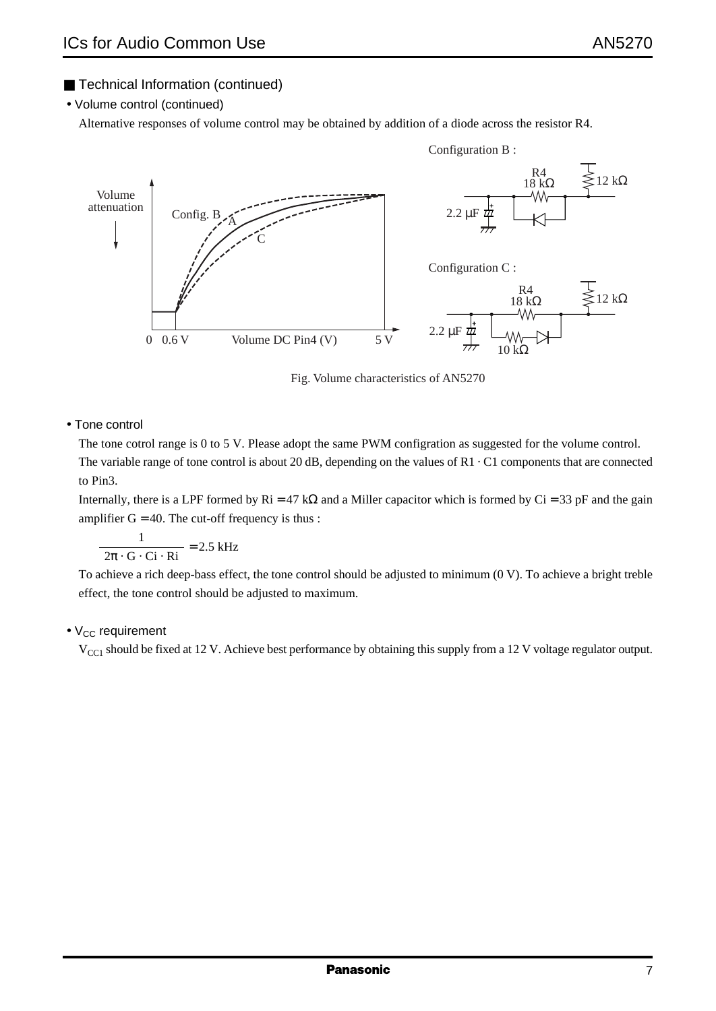• Volume control (continued)

Alternative responses of volume control may be obtained by addition of a diode across the resistor R4.



Fig. Volume characteristics of AN5270

• Tone control

The tone cotrol range is 0 to 5 V. Please adopt the same PWM configration as suggested for the volume control.

The variable range of tone control is about 20 dB, depending on the values of  $R1 \cdot C1$  components that are connected to Pin3.

Internally, there is a LPF formed by  $\text{Ri} = 47 \text{ k}\Omega$  and a Miller capacitor which is formed by Ci = 33 pF and the gain amplifier  $G = 40$ . The cut-off frequency is thus :

$$
\frac{1}{2\pi \cdot G \cdot Ci \cdot Ri} = 2.5 \text{ kHz}
$$

To achieve a rich deep-bass effect, the tone control should be adjusted to minimum (0 V). To achieve a bright treble effect, the tone control should be adjusted to maximum.

#### $\bullet$  V<sub>CC</sub> requirement

 $V_{\text{CC}1}$  should be fixed at 12 V. Achieve best performance by obtaining this supply from a 12 V voltage regulator output.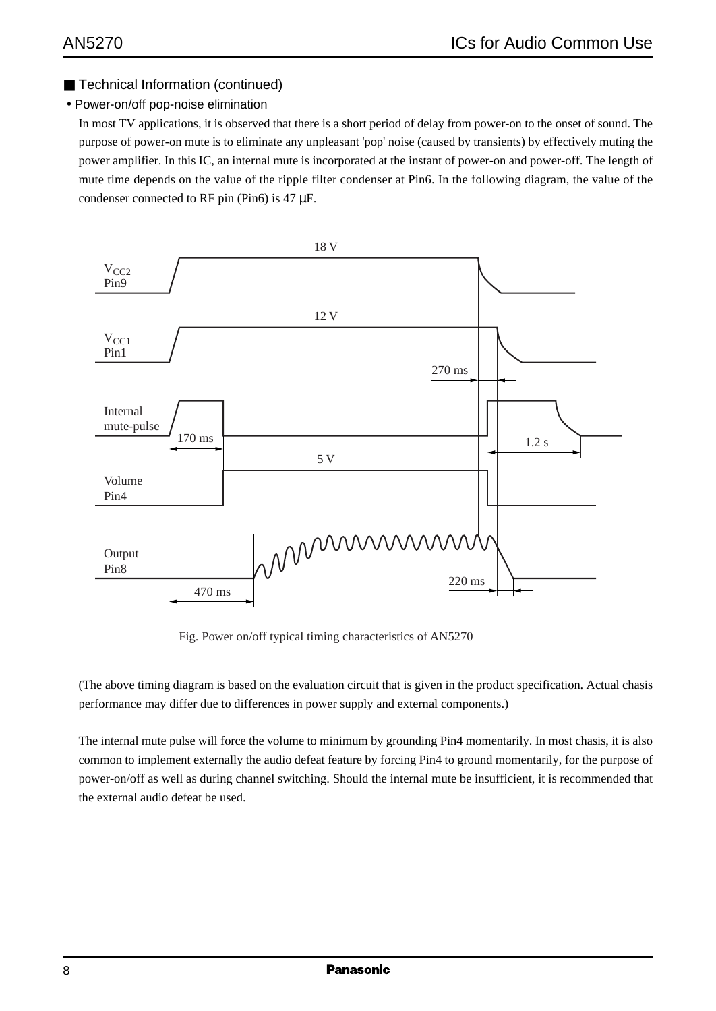#### • Power-on/off pop-noise elimination

In most TV applications, it is observed that there is a short period of delay from power-on to the onset of sound. The purpose of power-on mute is to eliminate any unpleasant 'pop' noise (caused by transients) by effectively muting the power amplifier. In this IC, an internal mute is incorporated at the instant of power-on and power-off. The length of mute time depends on the value of the ripple filter condenser at Pin6. In the following diagram, the value of the condenser connected to RF pin (Pin6) is 47 µF.



Fig. Power on/off typical timing characteristics of AN5270

(The above timing diagram is based on the evaluation circuit that is given in the product specification. Actual chasis performance may differ due to differences in power supply and external components.)

The internal mute pulse will force the volume to minimum by grounding Pin4 momentarily. In most chasis, it is also common to implement externally the audio defeat feature by forcing Pin4 to ground momentarily, for the purpose of power-on/off as well as during channel switching. Should the internal mute be insufficient, it is recommended that the external audio defeat be used.